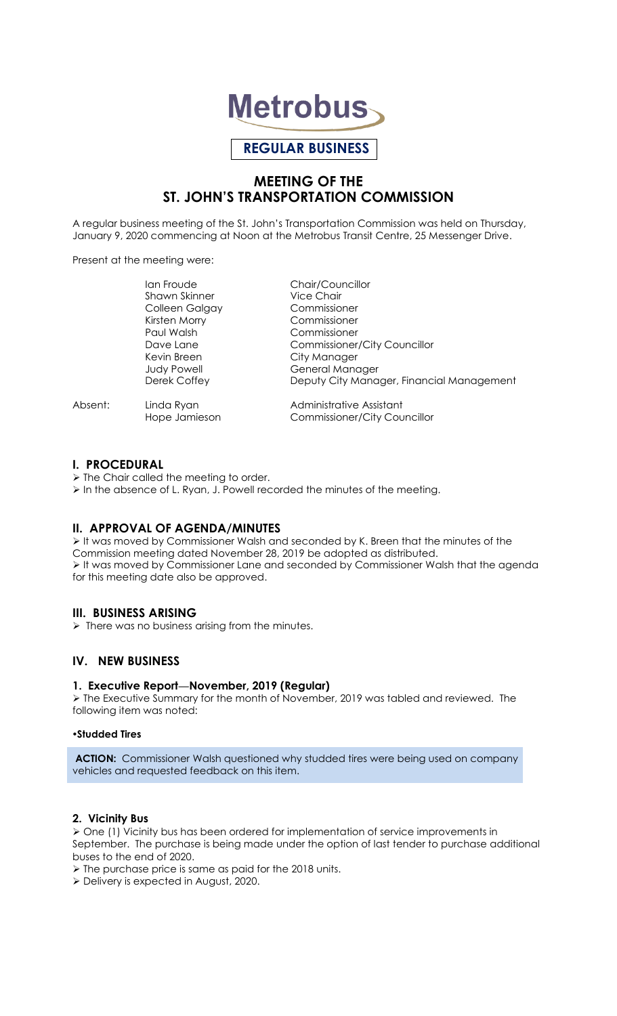

# **REGULAR BUSINESS**

# **MEETING OF THE ST. JOHN'S TRANSPORTATION COMMISSION**

A regular business meeting of the St. John's Transportation Commission was held on Thursday, January 9, 2020 commencing at Noon at the Metrobus Transit Centre, 25 Messenger Drive.

Present at the meeting were:

|         | lan Froude           | Chair/Councillor                          |
|---------|----------------------|-------------------------------------------|
|         | <b>Shawn Skinner</b> | <b>Vice Chair</b>                         |
|         | Colleen Galgay       | Commissioner                              |
|         | Kirsten Morry        | Commissioner                              |
|         | Paul Walsh           | Commissioner                              |
|         | Dave Lane            | <b>Commissioner/City Councillor</b>       |
|         | Kevin Breen          | City Manager                              |
|         | <b>Judy Powell</b>   | General Manager                           |
|         | Derek Coffey         | Deputy City Manager, Financial Management |
| Absent: | Linda Ryan           | Administrative Assistant                  |
|         | Hope Jamieson        | Commissioner/City Councillor              |

### **I. PROCEDURAL**

 $\triangleright$  The Chair called the meeting to order.

In the absence of L. Ryan, J. Powell recorded the minutes of the meeting.

## **II. APPROVAL OF AGENDA/MINUTES**

 $\triangleright$  It was moved by Commissioner Walsh and seconded by K. Breen that the minutes of the Commission meeting dated November 28, 2019 be adopted as distributed. It was moved by Commissioner Lane and seconded by Commissioner Walsh that the agenda for this meeting date also be approved.

## **III. BUSINESS ARISING**

 $\triangleright$  There was no business arising from the minutes.

# **IV. NEW BUSINESS**

### **1. Executive Report—November, 2019 (Regular)**

 The Executive Summary for the month of November, 2019 was tabled and reviewed. The following item was noted:

#### **Studded Tires**

**ACTION:** Commissioner Walsh questioned why studded tires were being used on company vehicles and requested feedback on this item.

#### **2. Vicinity Bus**

 $\triangleright$  One (1) Vicinity bus has been ordered for implementation of service improvements in September. The purchase is being made under the option of last tender to purchase additional buses to the end of 2020.

 $\triangleright$  The purchase price is same as paid for the 2018 units.

Delivery is expected in August, 2020.